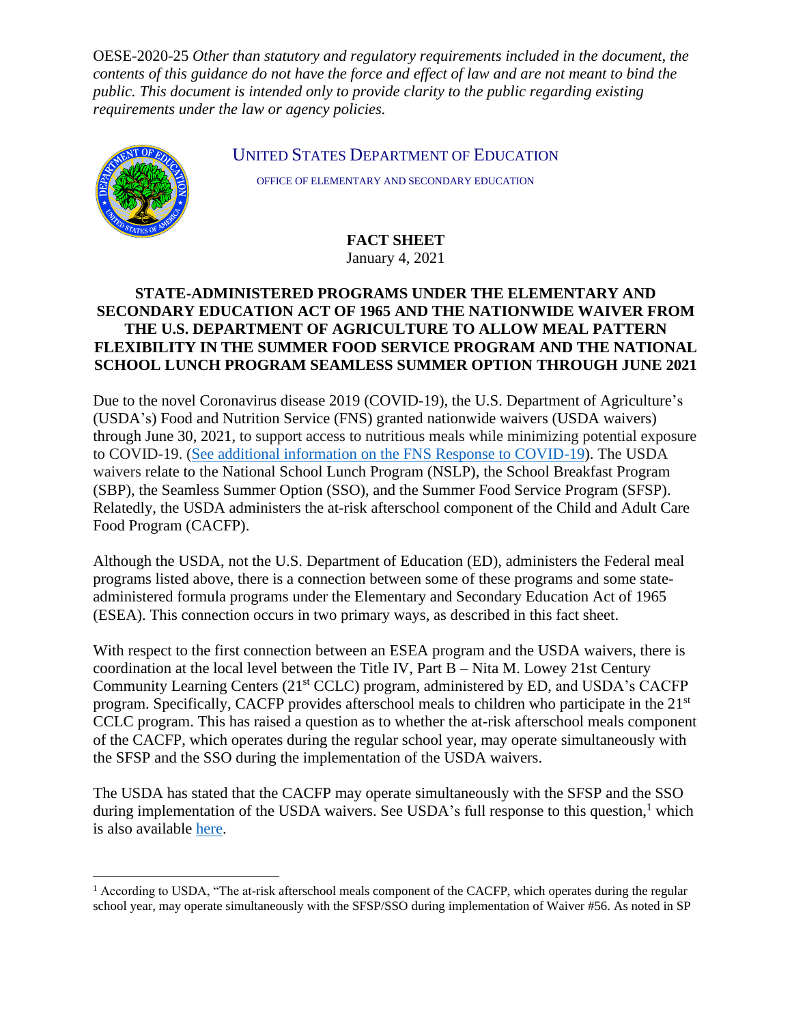OESE-2020-25 *Other than statutory and regulatory requirements included in the document, the contents of this guidance do not have the force and effect of law and are not meant to bind the public. This document is intended only to provide clarity to the public regarding existing requirements under the law or agency policies.*



UNITED STATES DEPARTMENT OF EDUCATION

OFFICE OF ELEMENTARY AND SECONDARY EDUCATION

**FACT SHEET** January 4, 2021

## **STATE-ADMINISTERED PROGRAMS UNDER THE ELEMENTARY AND SECONDARY EDUCATION ACT OF 1965 AND THE NATIONWIDE WAIVER FROM THE U.S. DEPARTMENT OF AGRICULTURE TO ALLOW MEAL PATTERN FLEXIBILITY IN THE SUMMER FOOD SERVICE PROGRAM AND THE NATIONAL SCHOOL LUNCH PROGRAM SEAMLESS SUMMER OPTION THROUGH JUNE 2021**

Due to the novel Coronavirus disease 2019 (COVID-19), the U.S. Department of Agriculture's (USDA's) Food and Nutrition Service (FNS) granted nationwide waivers (USDA waivers) through June 30, 2021, to support access to nutritious meals while minimizing potential exposure to COVID-19. [\(See additional information on the FNS Response to COVID-19\).](https://www.fns.usda.gov/coronavirus) The USDA waivers relate to the National School Lunch Program (NSLP), the School Breakfast Program (SBP), the Seamless Summer Option (SSO), and the Summer Food Service Program (SFSP). Relatedly, the USDA administers the at-risk afterschool component of the Child and Adult Care Food Program (CACFP).

Although the USDA, not the U.S. Department of Education (ED), administers the Federal meal programs listed above, there is a connection between some of these programs and some stateadministered formula programs under the Elementary and Secondary Education Act of 1965 (ESEA). This connection occurs in two primary ways, as described in this fact sheet.

With respect to the first connection between an ESEA program and the USDA waivers, there is coordination at the local level between the Title IV, Part B – Nita M. Lowey 21st Century Community Learning Centers (21<sup>st</sup> CCLC) program, administered by ED, and USDA's CACFP program. Specifically, CACFP provides afterschool meals to children who participate in the 21<sup>st</sup> CCLC program. This has raised a question as to whether the at-risk afterschool meals component of the CACFP, which operates during the regular school year, may operate simultaneously with the SFSP and the SSO during the implementation of the USDA waivers.

The USDA has stated that the CACFP may operate simultaneously with the SFSP and the SSO during implementation of the USDA waivers. See USDA's full response to this question, $<sup>1</sup>$  which</sup> is also available [here.](https://www.fns.usda.gov/cn/qas-relating-nationwide-waiver-allow-sfsp-sso-operations-through-december-2020)

 $<sup>1</sup>$  According to USDA, "The at-risk afterschool meals component of the CACFP, which operates during the regular</sup> school year, may operate simultaneously with the SFSP/SSO during implementation of Waiver #56. As noted in SP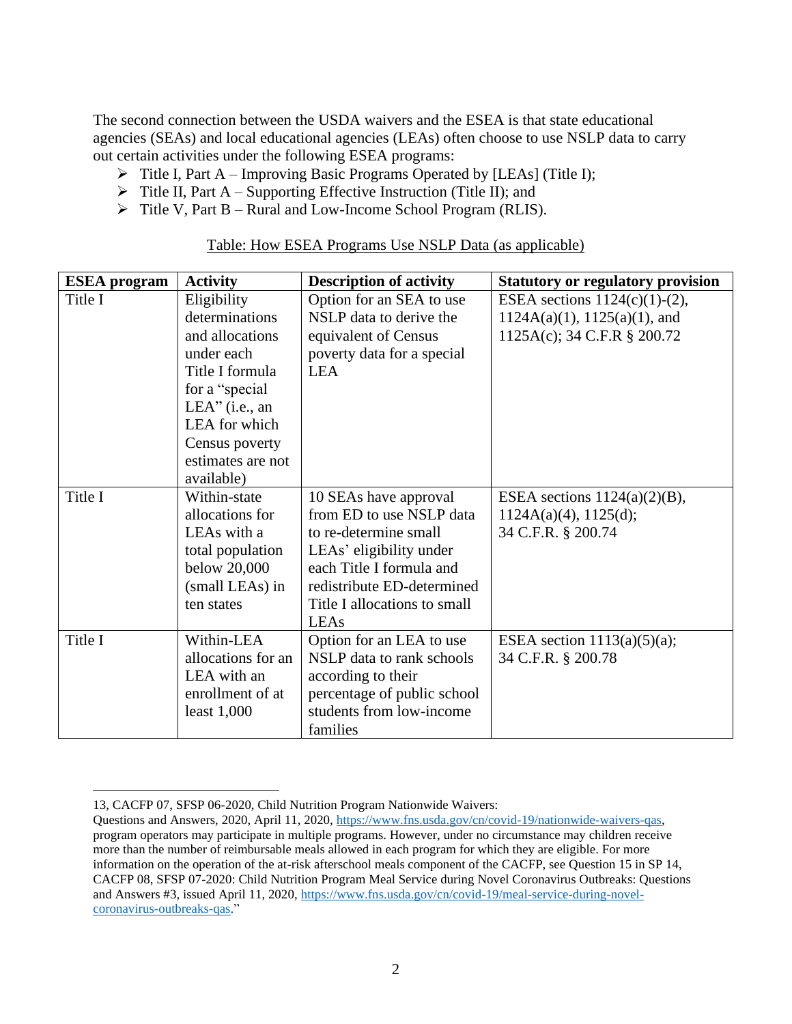The second connection between the USDA waivers and the ESEA is that state educational agencies (SEAs) and local educational agencies (LEAs) often choose to use NSLP data to carry out certain activities under the following ESEA programs:

- ➢ Title I, Part A Improving Basic Programs Operated by [LEAs] (Title I);
- $\triangleright$  Title II, Part A Supporting Effective Instruction (Title II); and
- ➢ Title V, Part B Rural and Low-Income School Program (RLIS).

| <b>ESEA</b> program | <b>Activity</b>                                                                                                                                                                                | <b>Description of activity</b>                                                                                                                                                                          | <b>Statutory or regulatory provision</b>                                                          |
|---------------------|------------------------------------------------------------------------------------------------------------------------------------------------------------------------------------------------|---------------------------------------------------------------------------------------------------------------------------------------------------------------------------------------------------------|---------------------------------------------------------------------------------------------------|
| Title I             | Eligibility<br>determinations<br>and allocations<br>under each<br>Title I formula<br>for a "special"<br>$LEA"$ (i.e., an<br>LEA for which<br>Census poverty<br>estimates are not<br>available) | Option for an SEA to use<br>NSLP data to derive the<br>equivalent of Census<br>poverty data for a special<br><b>LEA</b>                                                                                 | ESEA sections $1124(c)(1)-(2)$ ,<br>$1124A(a)(1), 1125(a)(1),$ and<br>1125A(c); 34 C.F.R § 200.72 |
| Title I             | Within-state<br>allocations for<br>LEAs with a<br>total population<br>below 20,000<br>(small LEAs) in<br>ten states                                                                            | 10 SEAs have approval<br>from ED to use NSLP data<br>to re-determine small<br>LEAs' eligibility under<br>each Title I formula and<br>redistribute ED-determined<br>Title I allocations to small<br>LEAs | ESEA sections $1124(a)(2)(B)$ ,<br>1124A(a)(4), 1125(d);<br>34 C.F.R. § 200.74                    |
| Title I             | Within-LEA<br>allocations for an<br>LEA with an<br>enrollment of at<br>least $1,000$                                                                                                           | Option for an LEA to use<br>NSLP data to rank schools<br>according to their<br>percentage of public school<br>students from low-income<br>families                                                      | ESEA section $1113(a)(5)(a)$ ;<br>34 C.F.R. § 200.78                                              |

Table: How ESEA Programs Use NSLP Data (as applicable)

<sup>13,</sup> CACFP 07, SFSP 06-2020, Child Nutrition Program Nationwide Waivers:

Questions and Answers, 2020, April 11, 2020, [https://www.fns.usda.gov/cn/covid-19/nationwide-waivers-qas,](https://www.fns.usda.gov/cn/covid-19/nationwide-waivers-qas) program operators may participate in multiple programs. However, under no circumstance may children receive more than the number of reimbursable meals allowed in each program for which they are eligible. For more information on the operation of the at-risk afterschool meals component of the CACFP, see Question 15 in SP 14, CACFP 08, SFSP 07-2020: Child Nutrition Program Meal Service during Novel Coronavirus Outbreaks: Questions and Answers #3, issued April 11, 2020[, https://www.fns.usda.gov/cn/covid-19/meal-service-during-novel](https://www.fns.usda.gov/cn/covid-19/meal-service-during-novel-coronavirus-outbreaks-qas)[coronavirus-outbreaks-qas.](https://www.fns.usda.gov/cn/covid-19/meal-service-during-novel-coronavirus-outbreaks-qas)"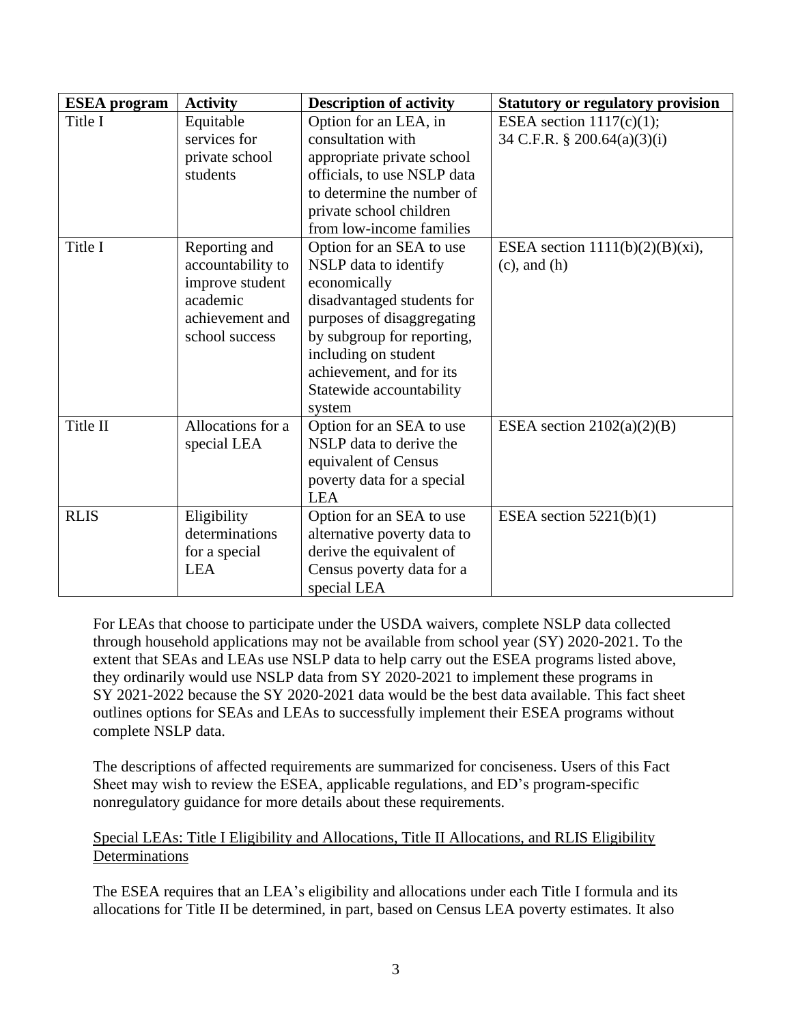| <b>ESEA</b> program | <b>Activity</b>   | <b>Description of activity</b>                      | <b>Statutory or regulatory provision</b> |
|---------------------|-------------------|-----------------------------------------------------|------------------------------------------|
| Title I             | Equitable         | Option for an LEA, in                               | ESEA section $1117(c)(1)$ ;              |
|                     | services for      | consultation with                                   | 34 C.F.R. $\S$ 200.64(a)(3)(i)           |
|                     | private school    | appropriate private school                          |                                          |
|                     | students          | officials, to use NSLP data                         |                                          |
|                     |                   | to determine the number of                          |                                          |
|                     |                   | private school children                             |                                          |
|                     |                   | from low-income families                            |                                          |
| Title I             | Reporting and     | Option for an SEA to use                            | ESEA section $1111(b)(2)(B)(xi)$ ,       |
|                     | accountability to | NSLP data to identify                               | $(c)$ , and $(h)$                        |
|                     | improve student   | economically                                        |                                          |
|                     | academic          | disadvantaged students for                          |                                          |
|                     | achievement and   | purposes of disaggregating                          |                                          |
|                     | school success    | by subgroup for reporting,                          |                                          |
|                     |                   | including on student                                |                                          |
|                     |                   | achievement, and for its                            |                                          |
|                     |                   | Statewide accountability                            |                                          |
|                     | Allocations for a | system                                              |                                          |
| Title II            |                   | Option for an SEA to use<br>NSLP data to derive the | ESEA section $2102(a)(2)(B)$             |
|                     | special LEA       |                                                     |                                          |
|                     |                   | equivalent of Census                                |                                          |
|                     |                   | poverty data for a special<br><b>LEA</b>            |                                          |
| <b>RLIS</b>         | Eligibility       | Option for an SEA to use                            | ESEA section $5221(b)(1)$                |
|                     | determinations    | alternative poverty data to                         |                                          |
|                     | for a special     | derive the equivalent of                            |                                          |
|                     | <b>LEA</b>        | Census poverty data for a                           |                                          |
|                     |                   | special LEA                                         |                                          |

For LEAs that choose to participate under the USDA waivers, complete NSLP data collected through household applications may not be available from school year (SY) 2020-2021. To the extent that SEAs and LEAs use NSLP data to help carry out the ESEA programs listed above, they ordinarily would use NSLP data from SY 2020-2021 to implement these programs in SY 2021-2022 because the SY 2020-2021 data would be the best data available. This fact sheet outlines options for SEAs and LEAs to successfully implement their ESEA programs without complete NSLP data.

The descriptions of affected requirements are summarized for conciseness. Users of this Fact Sheet may wish to review the ESEA, applicable regulations, and ED's program-specific nonregulatory guidance for more details about these requirements.

## Special LEAs: Title I Eligibility and Allocations, Title II Allocations, and RLIS Eligibility Determinations

The ESEA requires that an LEA's eligibility and allocations under each Title I formula and its allocations for Title II be determined, in part, based on Census LEA poverty estimates. It also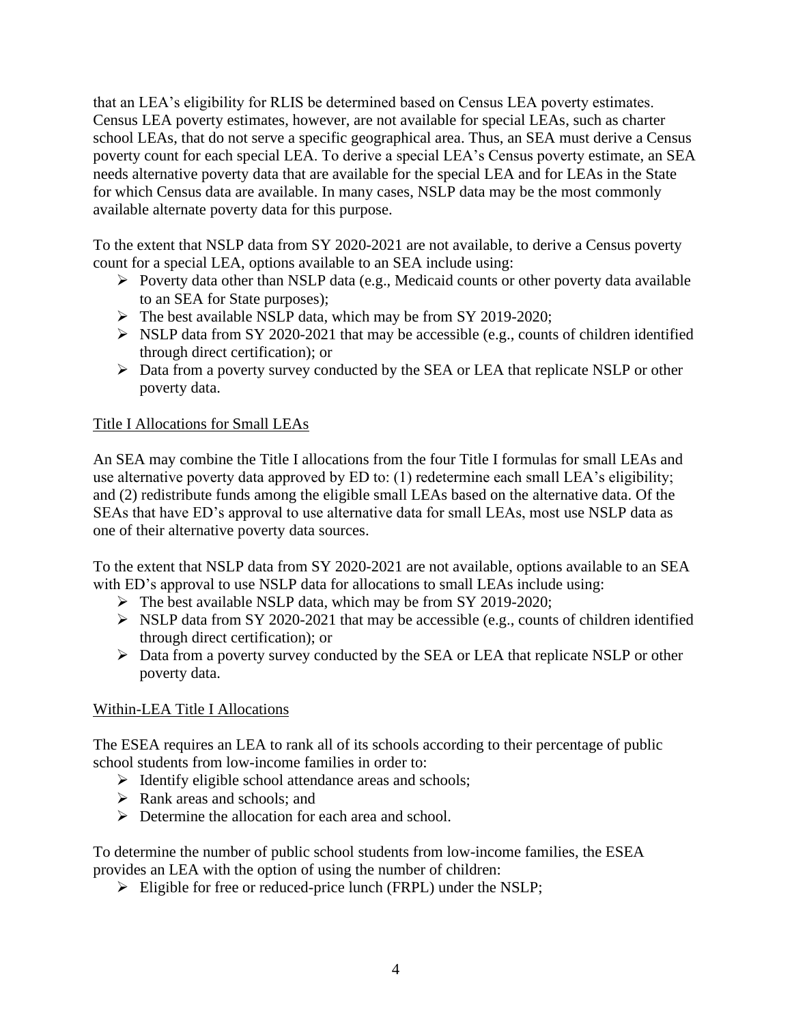that an LEA's eligibility for RLIS be determined based on Census LEA poverty estimates. Census LEA poverty estimates, however, are not available for special LEAs, such as charter school LEAs, that do not serve a specific geographical area. Thus, an SEA must derive a Census poverty count for each special LEA. To derive a special LEA's Census poverty estimate, an SEA needs alternative poverty data that are available for the special LEA and for LEAs in the State for which Census data are available. In many cases, NSLP data may be the most commonly available alternate poverty data for this purpose.

To the extent that NSLP data from SY 2020-2021 are not available, to derive a Census poverty count for a special LEA, options available to an SEA include using:

- ➢ Poverty data other than NSLP data (e.g., Medicaid counts or other poverty data available to an SEA for State purposes);
- ➢ The best available NSLP data, which may be from SY 2019-2020;
- ➢ NSLP data from SY 2020-2021 that may be accessible (e.g., counts of children identified through direct certification); or
- ➢ Data from a poverty survey conducted by the SEA or LEA that replicate NSLP or other poverty data.

# Title I Allocations for Small LEAs

An SEA may combine the Title I allocations from the four Title I formulas for small LEAs and use alternative poverty data approved by ED to: (1) redetermine each small LEA's eligibility; and (2) redistribute funds among the eligible small LEAs based on the alternative data. Of the SEAs that have ED's approval to use alternative data for small LEAs, most use NSLP data as one of their alternative poverty data sources.

To the extent that NSLP data from SY 2020-2021 are not available, options available to an SEA with ED's approval to use NSLP data for allocations to small LEAs include using:

- ➢ The best available NSLP data, which may be from SY 2019-2020;
- ➢ NSLP data from SY 2020-2021 that may be accessible (e.g., counts of children identified through direct certification); or
- ➢ Data from a poverty survey conducted by the SEA or LEA that replicate NSLP or other poverty data.

## Within-LEA Title I Allocations

The ESEA requires an LEA to rank all of its schools according to their percentage of public school students from low-income families in order to:

- ➢ Identify eligible school attendance areas and schools;
- ➢ Rank areas and schools; and
- $\triangleright$  Determine the allocation for each area and school.

To determine the number of public school students from low-income families, the ESEA provides an LEA with the option of using the number of children:

➢ Eligible for free or reduced-price lunch (FRPL) under the NSLP;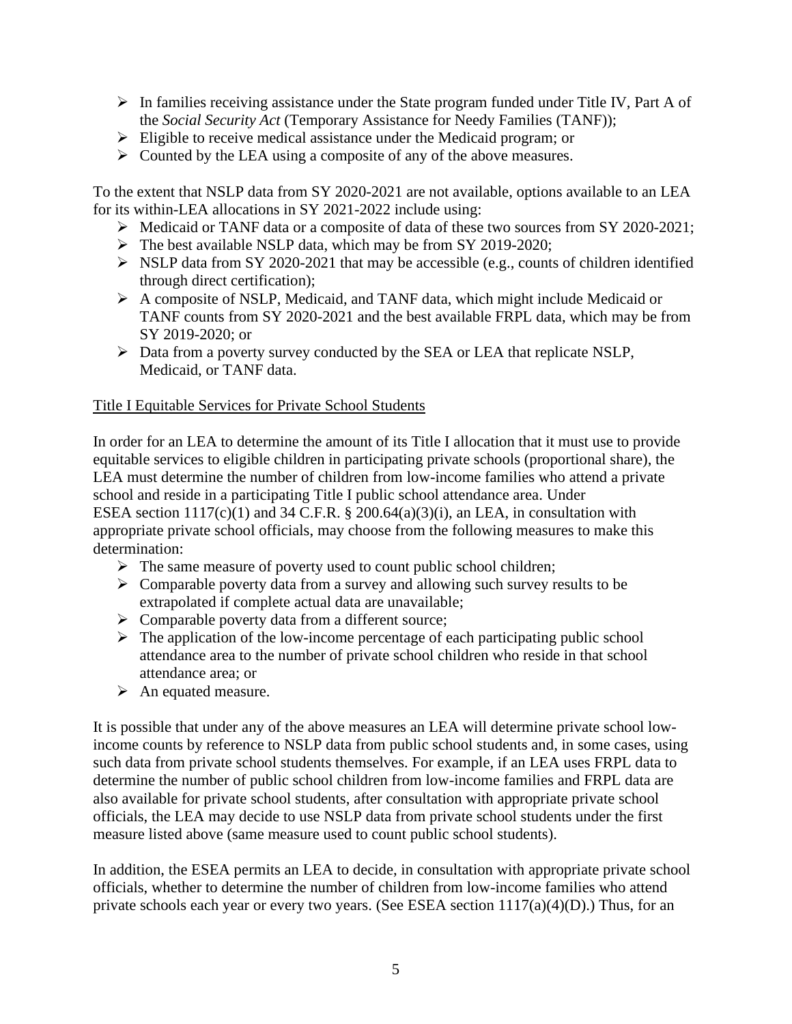- ➢ In families receiving assistance under the State program funded under Title IV, Part A of the *Social Security Act* (Temporary Assistance for Needy Families (TANF));
- ➢ Eligible to receive medical assistance under the Medicaid program; or
- ➢ Counted by the LEA using a composite of any of the above measures.

To the extent that NSLP data from SY 2020-2021 are not available, options available to an LEA for its within-LEA allocations in SY 2021-2022 include using:

- ➢ Medicaid or TANF data or a composite of data of these two sources from SY 2020-2021;
- ➢ The best available NSLP data, which may be from SY 2019-2020;
- ➢ NSLP data from SY 2020-2021 that may be accessible (e.g., counts of children identified through direct certification);
- ➢ A composite of NSLP, Medicaid, and TANF data, which might include Medicaid or TANF counts from SY 2020-2021 and the best available FRPL data, which may be from SY 2019-2020; or
- ➢ Data from a poverty survey conducted by the SEA or LEA that replicate NSLP, Medicaid, or TANF data.

#### Title I Equitable Services for Private School Students

In order for an LEA to determine the amount of its Title I allocation that it must use to provide equitable services to eligible children in participating private schools (proportional share), the LEA must determine the number of children from low-income families who attend a private school and reside in a participating Title I public school attendance area. Under ESEA section  $1117(c)(1)$  and 34 C.F.R. § 200.64(a)(3)(i), an LEA, in consultation with appropriate private school officials, may choose from the following measures to make this determination:

- $\triangleright$  The same measure of poverty used to count public school children;
- ➢ Comparable poverty data from a survey and allowing such survey results to be extrapolated if complete actual data are unavailable;
- $\triangleright$  Comparable poverty data from a different source;
- $\triangleright$  The application of the low-income percentage of each participating public school attendance area to the number of private school children who reside in that school attendance area; or
- ➢ An equated measure.

It is possible that under any of the above measures an LEA will determine private school lowincome counts by reference to NSLP data from public school students and, in some cases, using such data from private school students themselves. For example, if an LEA uses FRPL data to determine the number of public school children from low-income families and FRPL data are also available for private school students, after consultation with appropriate private school officials, the LEA may decide to use NSLP data from private school students under the first measure listed above (same measure used to count public school students).

In addition, the ESEA permits an LEA to decide, in consultation with appropriate private school officials, whether to determine the number of children from low-income families who attend private schools each year or every two years. (See ESEA section  $1117(a)(4)(D)$ .) Thus, for an